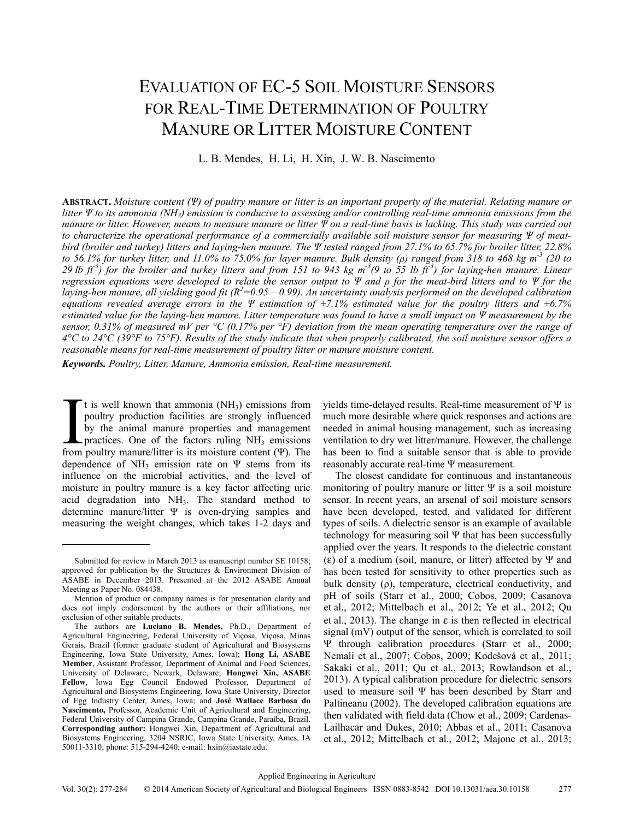# EVALUATION OF EC-5 SOIL MOISTURE SENSORS FOR REAL-TIME DETERMINATION OF POULTRY MANURE OR LITTER MOISTURE CONTENT

L. B. Mendes, H. Li, H. Xin, J. W. B. Nascimento

**ABSTRACT.** *Moisture content (Ψ) of poultry manure or litter is an important property of the material. Relating manure or litter Ψ to its ammonia (NH3) emission is conducive to assessing and/or controlling real-time ammonia emissions from the manure or litter. However, means to measure manure or litter Ψ on a real-time basis is lacking. This study was carried out to characterize the operational performance of a commercially available soil moisture sensor for measuring Ψ of meatbird (broiler and turkey) litters and laying-hen manure. The Ψ tested ranged from 27.1% to 65.7% for broiler litter, 22.8% to 56.1% for turkey litter, and 11.0% to 75.0% for layer manure. Bulk density (ρ) ranged from 318 to 468 kg m-3 (20 to*  29 lb  $ft^3$ ) for the broiler and turkey litters and from 151 to 943 kg m<sup>-3</sup>(9 to 55 lb  $ft^3$ ) for laying-hen manure. Linear *regression equations were developed to relate the sensor output to Ψ and ρ for the meat-bird litters and to Ψ for the*  laying-hen manure, all yielding good fit (R<sup>2</sup>=0.95 – 0.99). An uncertainty analysis performed on the developed calibration *equations revealed average errors in the Ψ estimation of ±7.1% estimated value for the poultry litters and ±6.7% estimated value for the laying-hen manure. Litter temperature was found to have a small impact on Ψ measurement by the sensor, 0.31% of measured mV per °C (0.17% per °F) deviation from the mean operating temperature over the range of 4°C to 24°C (39°F to 75°F). Results of the study indicate that when properly calibrated, the soil moisture sensor offers a reasonable means for real-time measurement of poultry litter or manure moisture content.*

*Keywords. Poultry, Litter, Manure, Ammonia emission, Real-time measurement.* 

t is well known that ammonia  $(NH<sub>3</sub>)$  emissions from poultry production facilities are strongly influenced by the animal manure properties and management practices. One of the factors ruling  $NH<sub>3</sub>$  emissions from poultry production facilities are strongly influenced<br>by the animal manure properties and management<br>practices. One of the factors ruling  $NH_3$  emissions<br>from poultry manure/litter is its moisture content (Ψ). The dependence of NH<sub>3</sub> emission rate on  $\Psi$  stems from its influence on the microbial activities, and the level of moisture in poultry manure is a key factor affecting uric acid degradation into NH<sub>3</sub>. The standard method to determine manure/litter Ψ is oven-drying samples and measuring the weight changes, which takes 1-2 days and

yields time-delayed results. Real-time measurement of Ψ is much more desirable where quick responses and actions are needed in animal housing management, such as increasing ventilation to dry wet litter/manure. However, the challenge has been to find a suitable sensor that is able to provide reasonably accurate real-time Ψ measurement.

The closest candidate for continuous and instantaneous monitoring of poultry manure or litter  $\Psi$  is a soil moisture sensor. In recent years, an arsenal of soil moisture sensors have been developed, tested, and validated for different types of soils. A dielectric sensor is an example of available technology for measuring soil Ψ that has been successfully applied over the years. It responds to the dielectric constant (ε) of a medium (soil, manure, or litter) affected by Ψ and has been tested for sensitivity to other properties such as bulk density (ρ), temperature, electrical conductivity, and pH of soils (Starr et al., 2000; Cobos, 2009; Casanova et al., 2012; Mittelbach et al., 2012; Ye et al., 2012; Qu et al., 2013). The change in  $\varepsilon$  is then reflected in electrical signal (mV) output of the sensor, which is correlated to soil Ψ through calibration procedures (Starr et al., 2000; Nemali et al., 2007; Cobos, 2009; Kodešová et al., 2011; Sakaki et al., 2011; Qu et al., 2013; Rowlandson et al., 2013). A typical calibration procedure for dielectric sensors used to measure soil Ψ has been described by Starr and Paltineanu (2002). The developed calibration equations are then validated with field data (Chow et al., 2009; Cardenas-Lailhacar and Dukes, 2010; Abbas et al., 2011; Casanova et al., 2012; Mittelbach et al., 2012; Majone et al., 2013;

Submitted for review in March 2013 as manuscript number SE 10158; approved for publication by the Structures & Environment Division of ASABE in December 2013. Presented at the 2012 ASABE Annual Meeting as Paper No. 084438.

Mention of product or company names is for presentation clarity and does not imply endorsement by the authors or their affiliations, nor exclusion of other suitable products.

The authors are **Luciano B. Mendes,** Ph.D., Department of Agricultural Engineering, Federal University of Viçosa, Viçosa, Minas Gerais, Brazil (former graduate student of Agricultural and Biosystems Engineering, Iowa State University, Ames, Iowa); **Hong Li, ASABE Member**, Assistant Professor, Department of Animal and Food Sciences**,** University of Delaware, Newark, Delaware; **Hongwei Xin, ASABE Fellow**, Iowa Egg Council Endowed Professor, Department of Agricultural and Biosystems Engineering, Iowa State University, Director of Egg Industry Center, Ames, Iowa; and **José Wallace Barbosa do Nascimento,** Professor, Academic Unit of Agricultural and Engineering, Federal University of Campina Grande, Campina Grande, Paraíba, Brazil. **Corresponding author:** Hongwei Xin, Department of Agricultural and Biosystems Engineering, 3204 NSRIC, Iowa State University, Ames, IA 50011-3310; phone: 515-294-4240; e-mail: hxin@iastate.edu.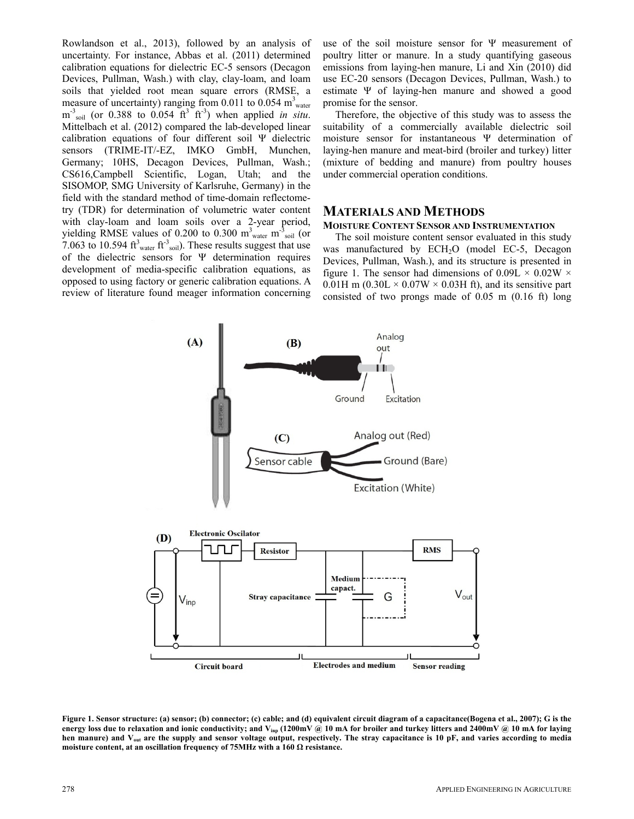Rowlandson et al., 2013), followed by an analysis of uncertainty. For instance, Abbas et al. (2011) determined calibration equations for dielectric EC-5 sensors (Decagon Devices, Pullman, Wash.) with clay, clay-loam, and loam soils that yielded root mean square errors (RMSE, a measure of uncertainty) ranging from 0.011 to 0.054  $m_{\text{water}}^3$  $m<sup>3</sup>$ <sub>soil</sub> (or 0.388 to 0.054 ft<sup>3</sup> ft<sup>3</sup>) when applied *in situ*. Mittelbach et al. (2012) compared the lab-developed linear calibration equations of four different soil Ψ dielectric sensors (TRIME-IT/-EZ, IMKO GmbH, Munchen, Germany; 10HS, Decagon Devices, Pullman, Wash.; CS616,Campbell Scientific, Logan, Utah; and the SISOMOP, SMG University of Karlsruhe, Germany) in the field with the standard method of time-domain reflectometry (TDR) for determination of volumetric water content with clay-loam and loam soils over a 2-year period, yielding RMSE values of 0.200 to 0.300  $m_{\text{water}}^3 m_{\text{solid}}^3$  (or 7.063 to 10.594  $\text{ft}^3$ <sub>water</sub>  $\text{ft}^3$ <sub>soil</sub>). These results suggest that use of the dielectric sensors for Ψ determination requires development of media-specific calibration equations, as opposed to using factory or generic calibration equations. A review of literature found meager information concerning

use of the soil moisture sensor for Ψ measurement of poultry litter or manure. In a study quantifying gaseous emissions from laying-hen manure, Li and Xin (2010) did use EC-20 sensors (Decagon Devices, Pullman, Wash.) to estimate Ψ of laying-hen manure and showed a good promise for the sensor.

Therefore, the objective of this study was to assess the suitability of a commercially available dielectric soil moisture sensor for instantaneous Ψ determination of laying-hen manure and meat-bird (broiler and turkey) litter (mixture of bedding and manure) from poultry houses under commercial operation conditions.

## **MATERIALS AND METHODS**

#### **MOISTURE CONTENT SENSOR AND INSTRUMENTATION**

The soil moisture content sensor evaluated in this study was manufactured by ECH<sub>2</sub>O (model EC-5, Decagon Devices, Pullman, Wash.), and its structure is presented in figure 1. The sensor had dimensions of  $0.09L \times 0.02W \times$ 0.01H m (0.30L  $\times$  0.07W  $\times$  0.03H ft), and its sensitive part consisted of two prongs made of 0.05 m (0.16 ft) long



**Figure 1. Sensor structure: (a) sensor; (b) connector; (c) cable; and (d) equivalent circuit diagram of a capacitance(Bogena et al., 2007); G is the energy loss due to relaxation and ionic conductivity; and Vinp (1200mV @ 10 mA for broiler and turkey litters and 2400mV @ 10 mA for laying hen manure) and Vout are the supply and sensor voltage output, respectively. The stray capacitance is 10 pF, and varies according to media moisture content, at an oscillation frequency of 75MHz with a 160 Ω resistance.**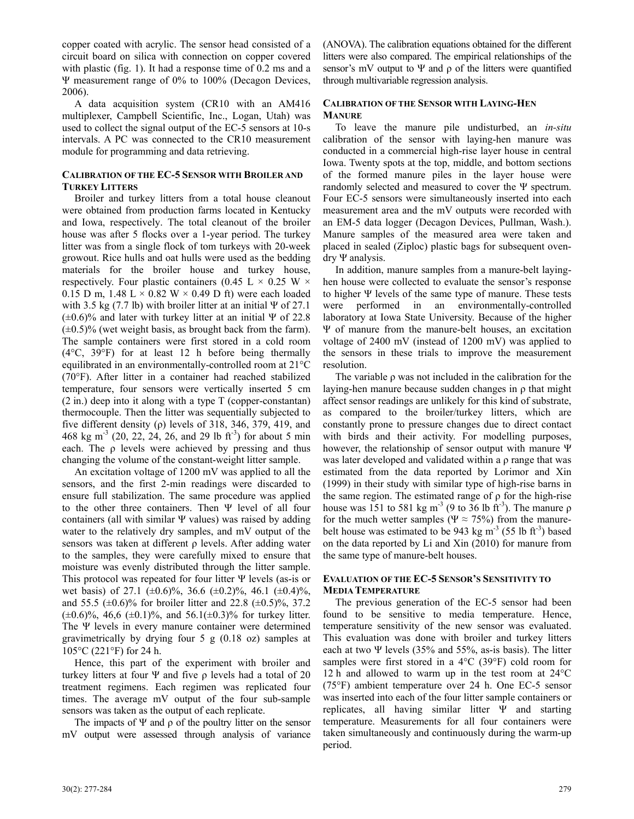copper coated with acrylic. The sensor head consisted of a circuit board on silica with connection on copper covered with plastic (fig. 1). It had a response time of 0.2 ms and a Ψ measurement range of 0% to 100% (Decagon Devices, 2006).

A data acquisition system (CR10 with an AM416 multiplexer, Campbell Scientific, Inc., Logan, Utah) was used to collect the signal output of the EC-5 sensors at 10-s intervals. A PC was connected to the CR10 measurement module for programming and data retrieving.

## **CALIBRATION OF THE EC-5 SENSOR WITH BROILER AND TURKEY LITTERS**

Broiler and turkey litters from a total house cleanout were obtained from production farms located in Kentucky and Iowa, respectively. The total cleanout of the broiler house was after 5 flocks over a 1-year period. The turkey litter was from a single flock of tom turkeys with 20-week growout. Rice hulls and oat hulls were used as the bedding materials for the broiler house and turkey house, respectively. Four plastic containers (0.45 L  $\times$  0.25 W  $\times$ 0.15 D m, 1.48 L  $\times$  0.82 W  $\times$  0.49 D ft) were each loaded with 3.5 kg  $(7.7 \text{ lb})$  with broiler litter at an initial  $\Psi$  of 27.1  $(\pm 0.6)\%$  and later with turkey litter at an initial Ψ of 22.8  $(\pm 0.5)\%$  (wet weight basis, as brought back from the farm). The sample containers were first stored in a cold room (4°C, 39°F) for at least 12 h before being thermally equilibrated in an environmentally-controlled room at 21°C (70°F). After litter in a container had reached stabilized temperature, four sensors were vertically inserted 5 cm (2 in.) deep into it along with a type T (copper-constantan) thermocouple. Then the litter was sequentially subjected to five different density ( $\rho$ ) levels of 318, 346, 379, 419, and 468 kg m<sup>-3</sup> (20, 22, 24, 26, and 29 lb ft<sup>-3</sup>) for about 5 min each. The  $\rho$  levels were achieved by pressing and thus changing the volume of the constant-weight litter sample.

An excitation voltage of 1200 mV was applied to all the sensors, and the first 2-min readings were discarded to ensure full stabilization. The same procedure was applied to the other three containers. Then Ψ level of all four containers (all with similar Ψ values) was raised by adding water to the relatively dry samples, and mV output of the sensors was taken at different ρ levels. After adding water to the samples, they were carefully mixed to ensure that moisture was evenly distributed through the litter sample. This protocol was repeated for four litter Ψ levels (as-is or wet basis) of 27.1 ( $\pm 0.6$ %, 36.6 ( $\pm 0.2$ %, 46.1 ( $\pm 0.4$ )%, and 55.5  $(\pm 0.6)$ % for broiler litter and 22.8  $(\pm 0.5)$ %, 37.2  $(\pm 0.6)\%$ , 46,6  $(\pm 0.1)\%$ , and 56.1( $\pm 0.3\%$  for turkey litter. The Ψ levels in every manure container were determined gravimetrically by drying four 5 g (0.18 oz) samples at 105°C (221°F) for 24 h.

Hence, this part of the experiment with broiler and turkey litters at four Ψ and five  $ρ$  levels had a total of 20 treatment regimens. Each regimen was replicated four times. The average mV output of the four sub-sample sensors was taken as the output of each replicate.

The impacts of  $\Psi$  and  $\rho$  of the poultry litter on the sensor mV output were assessed through analysis of variance (ANOVA). The calibration equations obtained for the different litters were also compared. The empirical relationships of the sensor's mV output to  $\Psi$  and  $\rho$  of the litters were quantified through multivariable regression analysis.

## **CALIBRATION OF THE SENSOR WITH LAYING-HEN MANURE**

To leave the manure pile undisturbed, an *in-situ* calibration of the sensor with laying-hen manure was conducted in a commercial high-rise layer house in central Iowa. Twenty spots at the top, middle, and bottom sections of the formed manure piles in the layer house were randomly selected and measured to cover the Ψ spectrum. Four EC-5 sensors were simultaneously inserted into each measurement area and the mV outputs were recorded with an EM-5 data logger (Decagon Devices, Pullman, Wash.). Manure samples of the measured area were taken and placed in sealed (Ziploc) plastic bags for subsequent ovendry Ψ analysis.

In addition, manure samples from a manure-belt layinghen house were collected to evaluate the sensor's response to higher Ψ levels of the same type of manure. These tests were performed in an environmentally-controlled laboratory at Iowa State University. Because of the higher Ψ of manure from the manure-belt houses, an excitation voltage of 2400 mV (instead of 1200 mV) was applied to the sensors in these trials to improve the measurement resolution.

The variable ρ was not included in the calibration for the laying-hen manure because sudden changes in ρ that might affect sensor readings are unlikely for this kind of substrate, as compared to the broiler/turkey litters, which are constantly prone to pressure changes due to direct contact with birds and their activity. For modelling purposes, however, the relationship of sensor output with manure Ψ was later developed and validated within a ρ range that was estimated from the data reported by Lorimor and Xin (1999) in their study with similar type of high-rise barns in the same region. The estimated range of  $\rho$  for the high-rise house was 151 to 581 kg m<sup>-3</sup> (9 to 36 lb ft<sup>-3</sup>). The manure  $\rho$ for the much wetter samples ( $\Psi \approx 75\%$ ) from the manurebelt house was estimated to be 943 kg  $\text{m}^3$  (55 lb ft<sup>-3</sup>) based on the data reported by Li and Xin (2010) for manure from the same type of manure-belt houses.

## **EVALUATION OF THE EC-5 SENSOR'S SENSITIVITY TO MEDIA TEMPERATURE**

The previous generation of the EC-5 sensor had been found to be sensitive to media temperature. Hence, temperature sensitivity of the new sensor was evaluated. This evaluation was done with broiler and turkey litters each at two  $\Psi$  levels (35% and 55%, as-is basis). The litter samples were first stored in a 4°C (39°F) cold room for 12 h and allowed to warm up in the test room at 24°C (75°F) ambient temperature over 24 h. One EC-5 sensor was inserted into each of the four litter sample containers or replicates, all having similar litter Ψ and starting temperature. Measurements for all four containers were taken simultaneously and continuously during the warm-up period.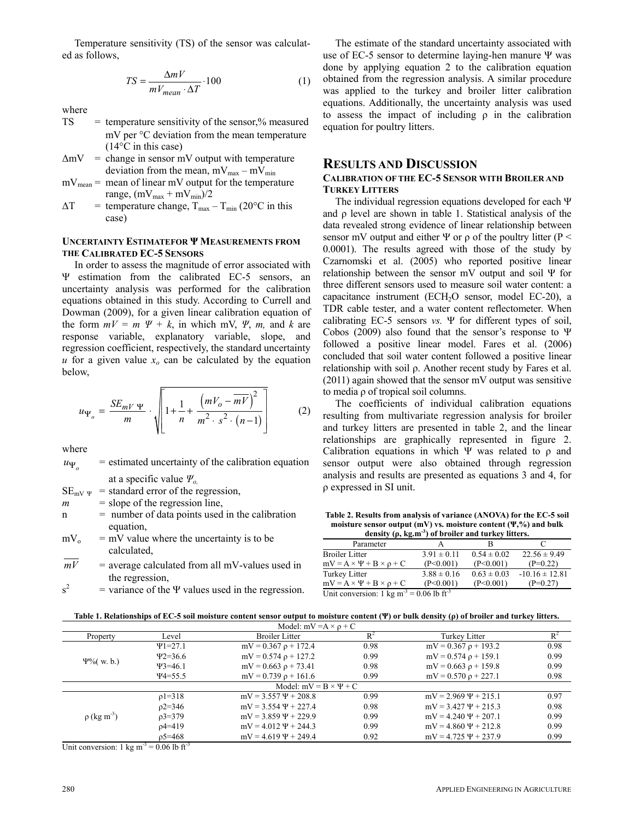Temperature sensitivity (TS) of the sensor was calculated as follows,

$$
TS = \frac{\Delta mV}{mV_{mean} \cdot \Delta T} \cdot 100\tag{1}
$$

where

- $TS = temperature sensitivity of the sensor, % measured$  mV per °C deviation from the mean temperature (14°C in this case)
- $\Delta mV$  = change in sensor mV output with temperature deviation from the mean,  $mV_{max} - mV_{min}$
- $mV_{mean}$  = mean of linear mV output for the temperature range,  $(mV_{max} + mV_{min})/2$
- $\Delta T$  = temperature change,  $T_{\text{max}} T_{\text{min}}$  (20°C in this case)

## **UNCERTAINTY ESTIMATEFOR Ψ MEASUREMENTS FROM THE CALIBRATED EC-5 SENSORS**

In order to assess the magnitude of error associated with Ψ estimation from the calibrated EC-5 sensors, an uncertainty analysis was performed for the calibration equations obtained in this study. According to Currell and Dowman (2009), for a given linear calibration equation of the form  $mV = m \Psi + k$ , in which mV,  $\Psi$ , *m*, and *k* are response variable, explanatory variable, slope, and regression coefficient, respectively, the standard uncertainty *u* for a given value  $x<sub>o</sub>$  can be calculated by the equation below,

$$
u_{\Psi_o} = \frac{SE_{mV} \Psi}{m} \cdot \sqrt{1 + \frac{1}{n} + \frac{(mV_o - \overline{mV})^2}{m^2 \cdot s^2 \cdot (n-1)}} \tag{2}
$$

where

 $u_{\Psi_{o}}$  = estimated uncertainty of the calibration equation at a specific value *Ψo,*

 $SE_{mV} \psi$  = standard error of the regression,

- $m =$ slope of the regression line,
- $n =$  number of data points used in the calibration equation,
- $mV_0$  = mV value where the uncertainty is to be calculated,
- $mV$  = average calculated from all mV-values used in the regression,

 $s^2$  $=$  variance of the Ψ values used in the regression.

The estimate of the standard uncertainty associated with use of EC-5 sensor to determine laying-hen manure Ψ was done by applying equation 2 to the calibration equation obtained from the regression analysis. A similar procedure was applied to the turkey and broiler litter calibration equations. Additionally, the uncertainty analysis was used to assess the impact of including  $\rho$  in the calibration equation for poultry litters.

## **RESULTS AND DISCUSSION**

## **CALIBRATION OF THE EC-5 SENSOR WITH BROILER AND TURKEY LITTERS**

The individual regression equations developed for each Ψ and ρ level are shown in table 1. Statistical analysis of the data revealed strong evidence of linear relationship between sensor mV output and either  $\Psi$  or  $\rho$  of the poultry litter (P < 0.0001). The results agreed with those of the study by Czarnomski et al. (2005) who reported positive linear relationship between the sensor mV output and soil Ψ for three different sensors used to measure soil water content: a capacitance instrument (ECH<sub>2</sub>O sensor, model EC-20), a TDR cable tester, and a water content reflectometer. When calibrating EC-5 sensors *vs.* Ψ for different types of soil, Cobos (2009) also found that the sensor's response to Ψ followed a positive linear model. Fares et al. (2006) concluded that soil water content followed a positive linear relationship with soil ρ. Another recent study by Fares et al. (2011) again showed that the sensor mV output was sensitive to media ρ of tropical soil columns.

The coefficients of individual calibration equations resulting from multivariate regression analysis for broiler and turkey litters are presented in table 2, and the linear relationships are graphically represented in figure 2. Calibration equations in which Ψ was related to  $\rho$  and sensor output were also obtained through regression analysis and results are presented as equations 3 and 4, for ρ expressed in SI unit.

**Table 2. Results from analysis of variance (ANOVA) for the EC-5 soil moisture sensor output (mV) vs. moisture content (Ψ,%) and bulk density (ρ, kg.m-3) of broiler and turkey litters.** 

| $\alpha$ and $\beta$ , $\beta$ , $\alpha$ , $\beta$ , $\beta$ is the set of $\alpha$ and $\alpha$ is the set of $\beta$ . |                 |                 |                    |  |
|---------------------------------------------------------------------------------------------------------------------------|-----------------|-----------------|--------------------|--|
| Parameter                                                                                                                 |                 | в               |                    |  |
| <b>Broiler Litter</b>                                                                                                     | $3.91 \pm 0.11$ | $0.54 \pm 0.02$ | $22.56 \pm 9.49$   |  |
| $mV = A \times \Psi + B \times \rho + C$                                                                                  | (P<0.001)       | (P<0.001)       | $(P=0.22)$         |  |
| Turkey Litter                                                                                                             | $3.88 \pm 0.16$ | $0.63 \pm 0.03$ | $-10.16 \pm 12.81$ |  |
| $mV = A \times \Psi + B \times \rho + C$                                                                                  | (P<0.001)       | (P<0.001)       | $(P=0.27)$         |  |
| Unit conversion: 1 kg m <sup>-3</sup> = 0.06 lb ft <sup>-3</sup>                                                          |                 |                 |                    |  |

**Table 1. Relationships of EC-5 soil moisture content sensor output to moisture content (Ψ) or bulk density (ρ) of broiler and turkey litters.** 

| Model: $mV = A \times \rho + C$                                                                      |                           |                           |                           |                           |       |
|------------------------------------------------------------------------------------------------------|---------------------------|---------------------------|---------------------------|---------------------------|-------|
| Property                                                                                             | Level                     | <b>Broiler Litter</b>     | $R^2$                     | Turkey Litter             | $R^2$ |
| $\Psi$ 1=27.1<br>$42 = 36.6$<br>$\Psi$ %(w. b.)<br>$43 = 46.1$<br>$\Psi$ 4=55.5                      |                           | $mV = 0.367 \rho + 172.4$ | 0.98                      | $mV = 0.367 \rho + 193.2$ | 0.98  |
|                                                                                                      |                           | $mV = 0.574 \rho + 127.2$ | 0.99                      | $mV = 0.574 \rho + 159.1$ | 0.99  |
|                                                                                                      |                           | $mV = 0.663 \rho + 73.41$ | 0.98                      | $mV = 0.663 \rho + 159.8$ | 0.99  |
|                                                                                                      |                           | $mV = 0.739 \rho + 161.6$ | 0.99                      | $mV = 0.570 \rho + 227.1$ | 0.98  |
| Model: $mV = B \times \Psi + C$                                                                      |                           |                           |                           |                           |       |
| $\rho$ 1=318<br>$p2 = 346$<br>$\rho$ (kg m <sup>-3</sup> )<br>$p3 = 379$<br>$p4 = 419$<br>$p5 = 468$ |                           | $mV = 3.557 \Psi + 208.8$ | 0.99                      | $mV = 2.969 \Psi + 215.1$ | 0.97  |
|                                                                                                      | $mV = 3.554 \Psi + 227.4$ | 0.98                      | $mV = 3.427 \Psi + 215.3$ | 0.98                      |       |
|                                                                                                      | $mV = 3.859 \Psi + 229.9$ | 0.99                      | $mV = 4.240 \Psi + 207.1$ | 0.99                      |       |
|                                                                                                      |                           | $mV = 4.012 \Psi + 244.3$ | 0.99                      | $mV = 4.860 \Psi + 212.8$ | 0.99  |
|                                                                                                      |                           | $mV = 4.619 \Psi + 249.4$ | 0.92                      | $mV = 4.725 \Psi + 237.9$ | 0.99  |

Unit conversion: 1 kg m<sup>-3</sup> = 0.06 lb ft<sup>-3</sup>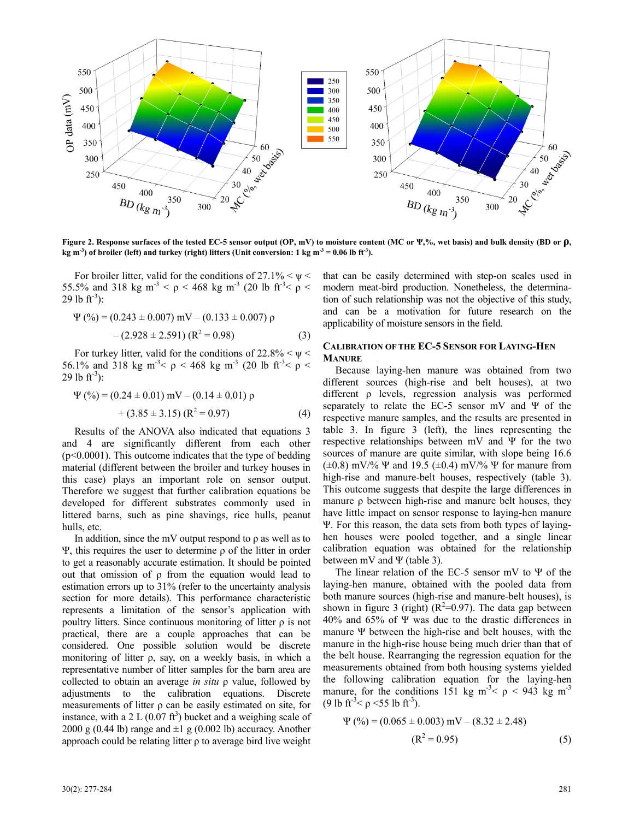

**Figure 2. Response surfaces of the tested EC-5 sensor output (OP, mV) to moisture content (MC or Ψ,%, wet basis) and bulk density (BD or ρ,**  kg m<sup>-3</sup>) of broiler (left) and turkey (right) litters (Unit conversion: 1 kg m<sup>-3</sup> = 0.06 lb ft<sup>-3</sup>).

For broiler litter, valid for the conditions of  $27.1\% \leq \psi \leq$ 55.5% and 318 kg m<sup>-3</sup>  $\lt\rho$   $\lt$  468 kg m<sup>-3</sup> (20 lb ft<sup>-3</sup> $\lt\rho$   $\lt$ 29 lb  $ft^{-3}$ :

$$
\Psi(\%) = (0.243 \pm 0.007) \text{ mV} - (0.133 \pm 0.007) \text{ p}
$$

$$
- (2.928 \pm 2.591) (\text{R}^2 = 0.98) \tag{3}
$$

For turkey litter, valid for the conditions of  $22.8\% < \psi <$ 56.1% and 318 kg m<sup>-3</sup> $\lt\rho$   $\lt$  468 kg m<sup>-3</sup> (20 lb ft<sup>-3</sup> $\lt\rho$   $\lt$ 29 lb  $ft^{-3}$ :

$$
\Psi(\%) = (0.24 \pm 0.01) \text{ mV} - (0.14 \pm 0.01) \text{ p} + (3.85 \pm 3.15) (\text{R}^2 = 0.97)
$$
 (4)

Results of the ANOVA also indicated that equations 3 and 4 are significantly different from each other (p<0.0001). This outcome indicates that the type of bedding material (different between the broiler and turkey houses in this case) plays an important role on sensor output. Therefore we suggest that further calibration equations be developed for different substrates commonly used in littered barns, such as pine shavings, rice hulls, peanut hulls, etc.

In addition, since the mV output respond to  $\rho$  as well as to Ψ, this requires the user to determine ρ of the litter in order to get a reasonably accurate estimation. It should be pointed out that omission of ρ from the equation would lead to estimation errors up to 31% (refer to the uncertainty analysis section for more details). This performance characteristic represents a limitation of the sensor's application with poultry litters. Since continuous monitoring of litter  $\rho$  is not practical, there are a couple approaches that can be considered. One possible solution would be discrete monitoring of litter ρ, say, on a weekly basis, in which a representative number of litter samples for the barn area are collected to obtain an average *in situ* ρ value, followed by adjustments to the calibration equations. Discrete measurements of litter  $\rho$  can be easily estimated on site, for instance, with a 2 L  $(0.07 \text{ ft}^3)$  bucket and a weighing scale of 2000 g (0.44 lb) range and  $\pm 1$  g (0.002 lb) accuracy. Another approach could be relating litter ρ to average bird live weight

that can be easily determined with step-on scales used in modern meat-bird production. Nonetheless, the determination of such relationship was not the objective of this study, and can be a motivation for future research on the applicability of moisture sensors in the field.

## **CALIBRATION OF THE EC-5 SENSOR FOR LAYING-HEN MANURE**

Because laying-hen manure was obtained from two different sources (high-rise and belt houses), at two different ρ levels, regression analysis was performed separately to relate the EC-5 sensor mV and  $\Psi$  of the respective manure samples, and the results are presented in table 3. In figure 3 (left), the lines representing the respective relationships between mV and Ψ for the two sources of manure are quite similar, with slope being 16.6  $(\pm 0.8)$  mV/% Ψ and 19.5 ( $\pm 0.4$ ) mV/% Ψ for manure from high-rise and manure-belt houses, respectively (table 3). This outcome suggests that despite the large differences in manure ρ between high-rise and manure belt houses, they have little impact on sensor response to laying-hen manure Ψ. For this reason, the data sets from both types of layinghen houses were pooled together, and a single linear calibration equation was obtained for the relationship between mV and Ψ (table 3).

The linear relation of the EC-5 sensor mV to Ψ of the laying-hen manure, obtained with the pooled data from both manure sources (high-rise and manure-belt houses), is shown in figure 3 (right)  $(R^2=0.97)$ . The data gap between 40% and 65% of Ψ was due to the drastic differences in manure Ψ between the high-rise and belt houses, with the manure in the high-rise house being much drier than that of the belt house. Rearranging the regression equation for the measurements obtained from both housing systems yielded the following calibration equation for the laying-hen manure, for the conditions 151 kg m<sup>-3</sup>  $\epsilon$   $\rho$  < 943 kg m<sup>-3</sup> (9 lb ft<sup>-3</sup>  $\leq \rho$  <55 lb ft<sup>-3</sup>).

$$
\Psi\left(\% \right) = (0.065 \pm 0.003) \text{ mV} - (8.32 \pm 2.48) \n\left(\text{R}^2 = 0.95\right) \tag{5}
$$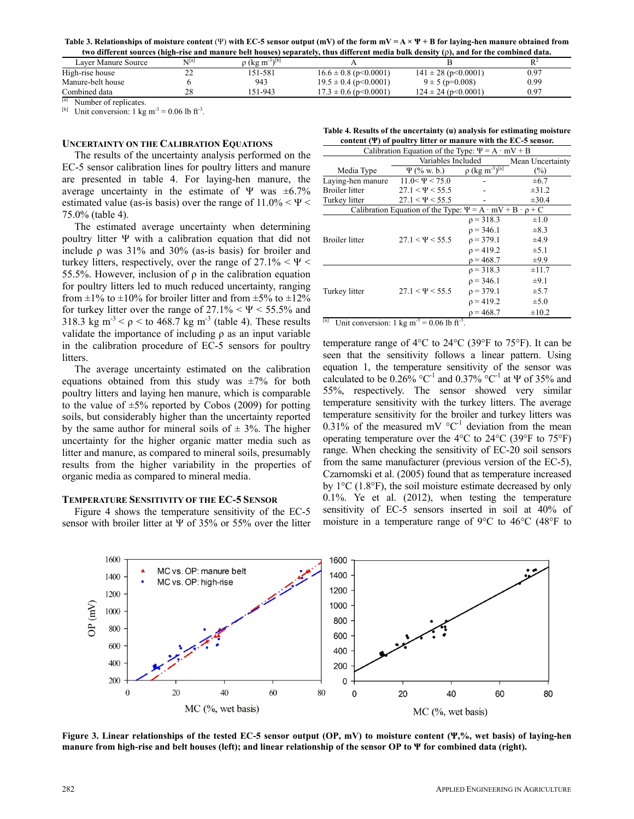**Table 3. Relationships of moisture content** (Ψ) **with EC-5 sensor output (mV) of the form mV = A × Ψ + B for laying-hen manure obtained from two different sources (high-rise and manure belt houses) separately, thus different media bulk density (**ρ**), and for the combined data.** 

|                                      |                   |                                             |                           | two unicreme sources (mgn-rise and manure ben nouses) separately, thus unicrem meula buik uchsity (p), and for the combined uata. |      |
|--------------------------------------|-------------------|---------------------------------------------|---------------------------|-----------------------------------------------------------------------------------------------------------------------------------|------|
| Laver Manure Source                  | NI <sup>[a]</sup> | $\rho$ (kg m <sup>-3</sup> ) <sup>[b]</sup> |                           |                                                                                                                                   |      |
| High-rise house                      | 22                | 151-581                                     | $16.6 \pm 0.8$ (p<0.0001) | $141 \pm 28$ (p < 0.0001)                                                                                                         | 0.97 |
| Manure-belt house                    |                   | 943                                         | $19.5 \pm 0.4$ (p<0.0001) | $9 \pm 5$ (p=0.008)                                                                                                               | 0.99 |
| Combined data                        | 28                | 151-943                                     | $17.3 \pm 0.6$ (p<0.0001) | $124 \pm 24$ (p $\leq 0.0001$ )                                                                                                   | 0.97 |
| <sup>[a]</sup> Number of replicates. |                   |                                             |                           |                                                                                                                                   |      |

<sup>[b]</sup> Unit conversion: 1 kg m<sup>-3</sup> = 0.06 lb ft<sup>-3</sup>.

#### **UNCERTAINTY ON THE CALIBRATION EQUATIONS**

The results of the uncertainty analysis performed on the EC-5 sensor calibration lines for poultry litters and manure are presented in table 4. For laying-hen manure, the average uncertainty in the estimate of Ψ was  $\pm 6.7\%$ estimated value (as-is basis) over the range of  $11.0\% < \Psi <$ 75.0% (table 4).

The estimated average uncertainty when determining poultry litter Ψ with a calibration equation that did not include  $\rho$  was 31% and 30% (as-is basis) for broiler and turkey litters, respectively, over the range of  $27.1\% < \Psi <$ 55.5%. However, inclusion of ρ in the calibration equation for poultry litters led to much reduced uncertainty, ranging from  $\pm 1\%$  to  $\pm 10\%$  for broiler litter and from  $\pm 5\%$  to  $\pm 12\%$ for turkey litter over the range of  $27.1\% < \Psi < 55.5\%$  and 318.3 kg m<sup>-3</sup>  $\leq \rho \leq$  to 468.7 kg m<sup>-3</sup> (table 4). These results validate the importance of including ρ as an input variable in the calibration procedure of EC-5 sensors for poultry litters.

The average uncertainty estimated on the calibration equations obtained from this study was  $\pm 7\%$  for both poultry litters and laying hen manure, which is comparable to the value of  $\pm 5\%$  reported by Cobos (2009) for potting soils, but considerably higher than the uncertainty reported by the same author for mineral soils of  $\pm$  3%. The higher uncertainty for the higher organic matter media such as litter and manure, as compared to mineral soils, presumably results from the higher variability in the properties of organic media as compared to mineral media.

#### **TEMPERATURE SENSITIVITY OF THE EC-5 SENSOR**

Figure 4 shows the temperature sensitivity of the EC-5 sensor with broiler litter at  $\Psi$  of 35% or 55% over the litter

| Table 4. Results of the uncertainty (u) analysis for estimating moisture |  |
|--------------------------------------------------------------------------|--|
| content $(\Psi)$ of poultry litter or manure with the EC-5 sensor.       |  |

| Calibration Equation of the Type: $\Psi = A \cdot mV + B$                |                      |                                             |                  |  |  |
|--------------------------------------------------------------------------|----------------------|---------------------------------------------|------------------|--|--|
|                                                                          | Variables Included   |                                             | Mean Uncertainty |  |  |
| Media Type                                                               | $\Psi$ (% w. b.)     | $\rho$ (kg m <sup>-3</sup> ) <sup>[a]</sup> | $(\%)$           |  |  |
| Laying-hen manure                                                        | $11.0 < \Psi < 75.0$ |                                             | $\pm 6.7$        |  |  |
| <b>Broiler</b> litter                                                    | $27.1 < \Psi < 55.5$ |                                             | $\pm 31.2$       |  |  |
| Turkey litter                                                            | $27.1 < \Psi < 55.5$ |                                             | $\pm 30.4$       |  |  |
| Calibration Equation of the Type: $\Psi = A \cdot mV + B \cdot \rho + C$ |                      |                                             |                  |  |  |
|                                                                          |                      | $p = 318.3$                                 | $\pm 1.0$        |  |  |
|                                                                          |                      | $p = 346.1$                                 | $\pm 8.3$        |  |  |
| <b>Broiler</b> litter                                                    | $27.1 < \Psi < 55.5$ | $p = 379.1$                                 | ±4.9             |  |  |
|                                                                          |                      | $p = 419.2$                                 | $\pm 5.1$        |  |  |
|                                                                          |                      | $p = 468.7$                                 | $\pm 9.9$        |  |  |
|                                                                          |                      | $p = 318.3$                                 | $\pm 11.7$       |  |  |
| Turkey litter                                                            |                      | $p = 346.1$                                 | $\pm 9.1$        |  |  |
|                                                                          | $27.1 < \Psi < 55.5$ | $p = 379.1$                                 | $\pm$ 5.7        |  |  |
|                                                                          |                      | $p = 419.2$                                 | $\pm$ 5.0        |  |  |
|                                                                          |                      | $p = 468.7$                                 | $\pm 10.2$       |  |  |

<sup>[a]</sup> Unit conversion: 1 kg m<sup>-3</sup> = 0.06 lb ft<sup>-3</sup>.

temperature range of 4 $\rm ^{o}C$  to 24 $\rm ^{o}C$  (39 $\rm ^{o}F$  to 75 $\rm ^{o}F$ ). It can be seen that the sensitivity follows a linear pattern. Using equation 1, the temperature sensitivity of the sensor was calculated to be  $0.26\%$  °C<sup>-1</sup> and  $0.37\%$  °C<sup>-1</sup> at  $\Psi$  of 35% and 55%, respectively. The sensor showed very similar temperature sensitivity with the turkey litters. The average temperature sensitivity for the broiler and turkey litters was 0.31% of the measured mV  $^{\circ}C^{-1}$  deviation from the mean operating temperature over the 4°C to 24°C (39°F to 75°F) range. When checking the sensitivity of EC-20 soil sensors from the same manufacturer (previous version of the EC-5), Czarnomski et al. (2005) found that as temperature increased by 1°C (1.8°F), the soil moisture estimate decreased by only 0.1%. Ye et al. (2012), when testing the temperature sensitivity of EC-5 sensors inserted in soil at 40% of moisture in a temperature range of 9°C to 46°C (48°F to



**Figure 3. Linear relationships of the tested EC-5 sensor output (OP, mV) to moisture content (Ψ,%, wet basis) of laying-hen manure from high-rise and belt houses (left); and linear relationship of the sensor OP to Ψ for combined data (right).**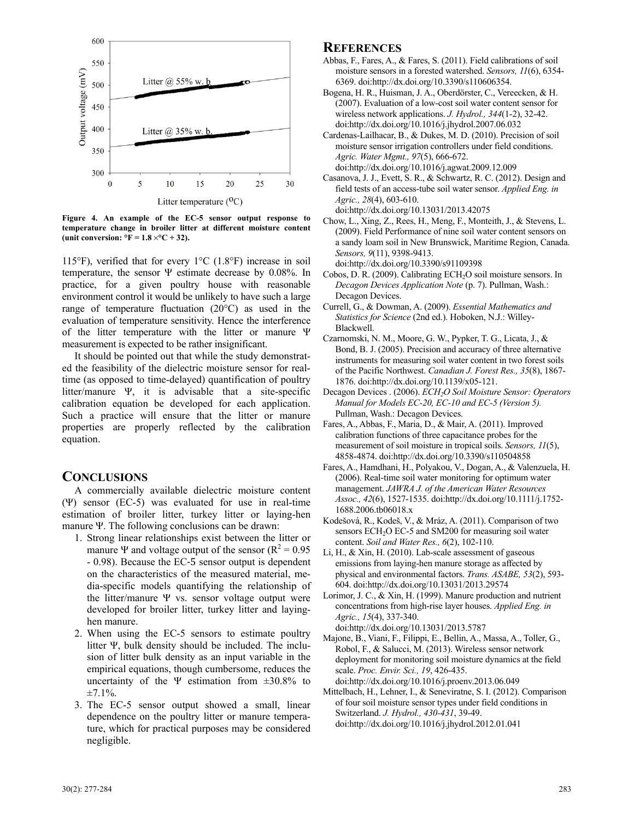

**Figure 4. An example of the EC-5 sensor output response to temperature change in broiler litter at different moisture content** (unit conversion:  ${}^{\circ}F = 1.8 \times {}^{\circ}C + 32$ ).

115°F), verified that for every  $1^{\circ}$ C (1.8°F) increase in soil temperature, the sensor  $\Psi$  estimate decrease by 0.08%. In practice, for a given poultry house with reasonable environment control it would be unlikely to have such a large range of temperature fluctuation (20°C) as used in the evaluation of temperature sensitivity. Hence the interference of the litter temperature with the litter or manure Ψ measurement is expected to be rather insignificant.

It should be pointed out that while the study demonstrated the feasibility of the dielectric moisture sensor for realtime (as opposed to time-delayed) quantification of poultry litter/manure Ψ, it is advisable that a site-specific calibration equation be developed for each application. Such a practice will ensure that the litter or manure properties are properly reflected by the calibration equation.

## **CONCLUSIONS**

A commercially available dielectric moisture content (Ψ) sensor (EC-5) was evaluated for use in real-time estimation of broiler litter, turkey litter or laying-hen manure Ψ. The following conclusions can be drawn:

- 1. Strong linear relationships exist between the litter or manure Ψ and voltage output of the sensor  $(R^2 = 0.95$ - 0.98). Because the EC-5 sensor output is dependent on the characteristics of the measured material, media-specific models quantifying the relationship of the litter/manure  $\Psi$  vs. sensor voltage output were developed for broiler litter, turkey litter and layinghen manure.
- 2. When using the EC-5 sensors to estimate poultry litter Ψ, bulk density should be included. The inclusion of litter bulk density as an input variable in the empirical equations, though cumbersome, reduces the uncertainty of the Ψ estimation from  $\pm 30.8\%$  to  $±7.1\%$ .
- 3. The EC-5 sensor output showed a small, linear dependence on the poultry litter or manure temperature, which for practical purposes may be considered negligible.

## **REFERENCES**

- Abbas, F., Fares, A., & Fares, S. (2011). Field calibrations of soil moisture sensors in a forested watershed. *Sensors, 11*(6), 6354- 6369. doi:http://dx.doi.org/10.3390/s110606354.
- Bogena, H. R., Huisman, J. A., Oberdörster, C., Vereecken, & H. (2007). Evaluation of a low-cost soil water content sensor for wireless network applications. *J. Hydrol., 344*(1-2), 32-42. doi:http://dx.doi.org/10.1016/j.jhydrol.2007.06.032
- Cardenas-Lailhacar, B., & Dukes, M. D. (2010). Precision of soil moisture sensor irrigation controllers under field conditions. *Agric. Water Mgmt., 97*(5), 666-672. doi:http://dx.doi.org/10.1016/j.agwat.2009.12.009
- Casanova, J. J., Evett, S. R., & Schwartz, R. C. (2012). Design and field tests of an access-tube soil water sensor. *Applied Eng. in Agric., 28*(4), 603-610. doi:http://dx.doi.org/10.13031/2013.42075
- Chow, L., Xing, Z., Rees, H., Meng, F., Monteith, J., & Stevens, L. (2009). Field Performance of nine soil water content sensors on a sandy loam soil in New Brunswick, Maritime Region, Canada. *Sensors, 9*(11), 9398-9413.

doi:http://dx.doi.org/10.3390/s91109398

- Cobos, D. R. (2009). Calibrating ECH<sub>2</sub>O soil moisture sensors. In *Decagon Devices Application Note* (p. 7). Pullman, Wash.: Decagon Devices.
- Currell, G., & Dowman, A. (2009). *Essential Mathematics and Statistics for Science* (2nd ed.). Hoboken, N.J.: Willey-Blackwell.
- Czarnomski, N. M., Moore, G. W., Pypker, T. G., Licata, J., & Bond, B. J. (2005). Precision and accuracy of three alternative instruments for measuring soil water content in two forest soils of the Pacific Northwest. *Canadian J. Forest Res., 35*(8), 1867- 1876. doi:http://dx.doi.org/10.1139/x05-121.
- Decagon Devices . (2006). *ECH2O Soil Moisture Sensor: Operators Manual for Models EC-20, EC-10 and EC-5 (Version 5).* Pullman, Wash.: Decagon Devices.
- Fares, A., Abbas, F., Maria, D., & Mair, A. (2011). Improved calibration functions of three capacitance probes for the measurement of soil moisture in tropical soils. *Sensors, 11*(5), 4858-4874. doi:http://dx.doi.org/10.3390/s110504858
- Fares, A., Hamdhani, H., Polyakou, V., Dogan, A., & Valenzuela, H. (2006). Real-time soil water monitoring for optimum water management. *JAWRA J. of the American Water Resources Assoc., 42*[\(6\), 1527-1535. doi:http://dx.doi.org/10.1111/j.1752-](http://dx.doi.org/10.1111/j.1752-1688.2006.tb06018.x) 1688.2006.tb06018.x
- Kodešová, R., Kodeš, V., & Mráz, A. (2011). Comparison of two sensors ECH<sub>2</sub>O EC-5 and SM200 for measuring soil water content. *Soil and Water Res., 6*(2), 102-110.
- Li, H., & Xin, H. (2010). Lab-scale assessment of gaseous emissions from laying-hen manure storage as affected by physical and environmental factors. *Trans. ASABE, 53*(2), 593- 604. doi:http://dx.doi.org/10.13031/2013.29574
- Lorimor, J. C., & Xin, H. (1999). Manure production and nutrient concentrations from high-rise layer houses. *Applied Eng. in Agric., 15*(4), 337-340. doi:http://dx.doi.org/10.13031/2013.5787
- Majone, B., Viani, F., Filippi, E., Bellin, A., Massa, A., Toller, G., Robol, F., & Salucci, M. (2013). Wireless sensor network deployment for monitoring soil moisture dynamics at the field scale. *Proc. Envir. Sci., 19*, 426-435. doi:http://dx.doi.org/10.1016/j.proenv.2013.06.049
- Mittelbach, H., Lehner, I., & Seneviratne, S. I. (2012). Comparison of four soil moisture sensor types under field conditions in Switzerland. *J. Hydrol., 430-431*, 39-49. doi:http://dx.doi.org/10.1016/j.jhydrol.2012.01.041